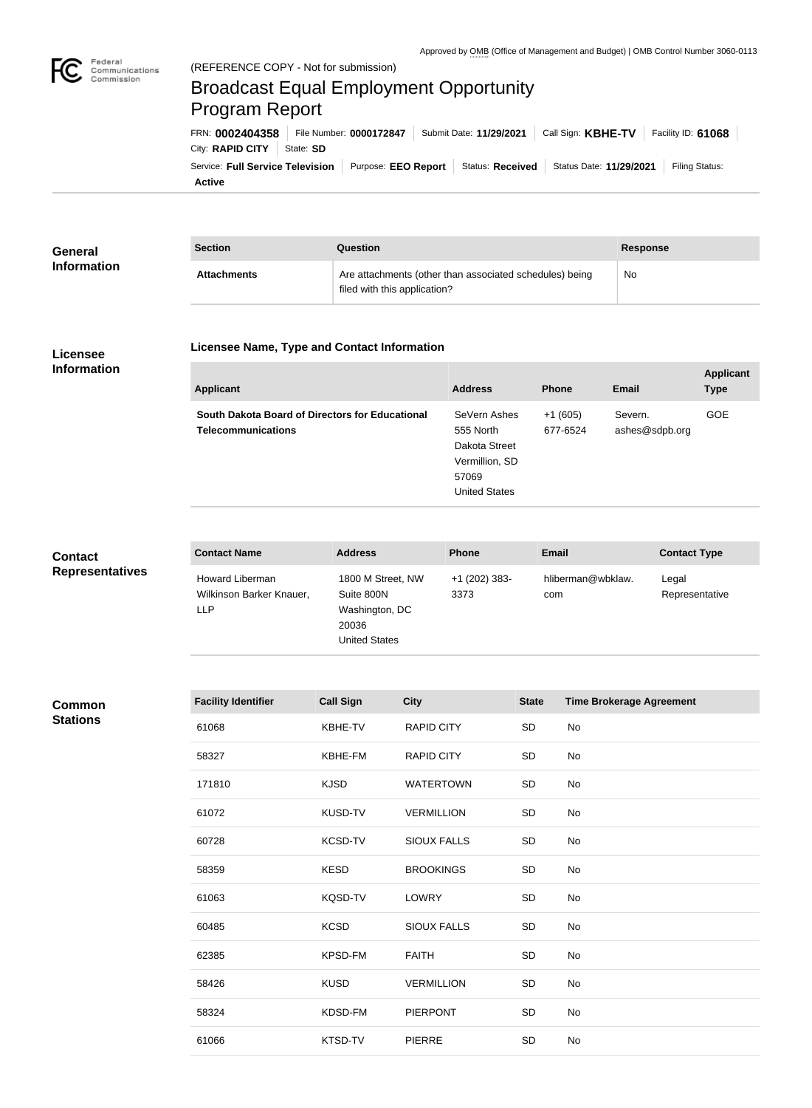

**Applicant** 

# Broadcast Equal Employment Opportunity Program Report

**Active** Service: Full Service Television | Purpose: EEO Report | Status: Received | Status Date: 11/29/2021 | Filing Status: City: **RAPID CITY** | State: SD FRN: **0002404358** File Number: **0000172847** Submit Date: **11/29/2021** Call Sign: **KBHE-TV** Facility ID: **61068**

| General            | <b>Section</b>     | Question                                                                                | Response |
|--------------------|--------------------|-----------------------------------------------------------------------------------------|----------|
| <b>Information</b> | <b>Attachments</b> | Are attachments (other than associated schedules) being<br>filed with this application? | No       |

#### **Licensee Information**

#### **Licensee Name, Type and Contact Information**

| <b>Applicant</b>                                | <b>Address</b>       | <b>Phone</b> | <b>Email</b>   | <b>Applicatio</b><br><b>Type</b> |
|-------------------------------------------------|----------------------|--------------|----------------|----------------------------------|
| South Dakota Board of Directors for Educational | SeVern Ashes         | $+1(605)$    | Severn.        | <b>GOE</b>                       |
| <b>Telecommunications</b>                       | 555 North            | 677-6524     | ashes@sdpb.org |                                  |
|                                                 | Dakota Street        |              |                |                                  |
|                                                 | Vermillion, SD       |              |                |                                  |
|                                                 | 57069                |              |                |                                  |
|                                                 | <b>United States</b> |              |                |                                  |

**Contact Representatives**

| <b>Contact Name</b>                                | <b>Address</b>                                                                     | <b>Phone</b>          | Email                    | <b>Contact Type</b>     |
|----------------------------------------------------|------------------------------------------------------------------------------------|-----------------------|--------------------------|-------------------------|
| Howard Liberman<br>Wilkinson Barker Knauer,<br>LLP | 1800 M Street, NW<br>Suite 800N<br>Washington, DC<br>20036<br><b>United States</b> | +1 (202) 383-<br>3373 | hliberman@wbklaw.<br>com | Legal<br>Representative |

| Common          |  |
|-----------------|--|
| <b>Stations</b> |  |

| <b>Facility Identifier</b> | <b>Call Sign</b> | <b>City</b>        | <b>State</b> | <b>Time Brokerage Agreement</b> |
|----------------------------|------------------|--------------------|--------------|---------------------------------|
| 61068                      | KBHE-TV          | <b>RAPID CITY</b>  | SD           | No                              |
| 58327                      | KBHE-FM          | <b>RAPID CITY</b>  | SD           | <b>No</b>                       |
| 171810                     | <b>KJSD</b>      | <b>WATERTOWN</b>   | SD           | No                              |
| 61072                      | KUSD-TV          | <b>VERMILLION</b>  | SD           | No                              |
| 60728                      | <b>KCSD-TV</b>   | <b>SIOUX FALLS</b> | SD           | No                              |
| 58359                      | <b>KESD</b>      | <b>BROOKINGS</b>   | SD           | No                              |
| 61063                      | KQSD-TV          | <b>LOWRY</b>       | SD           | No                              |
| 60485                      | <b>KCSD</b>      | <b>SIOUX FALLS</b> | SD           | No                              |
| 62385                      | <b>KPSD-FM</b>   | <b>FAITH</b>       | SD           | No                              |
| 58426                      | <b>KUSD</b>      | <b>VERMILLION</b>  | SD           | No                              |
| 58324                      | KDSD-FM          | <b>PIERPONT</b>    | SD           | No                              |
| 61066                      | KTSD-TV          | <b>PIERRE</b>      | SD           | No                              |
|                            |                  |                    |              |                                 |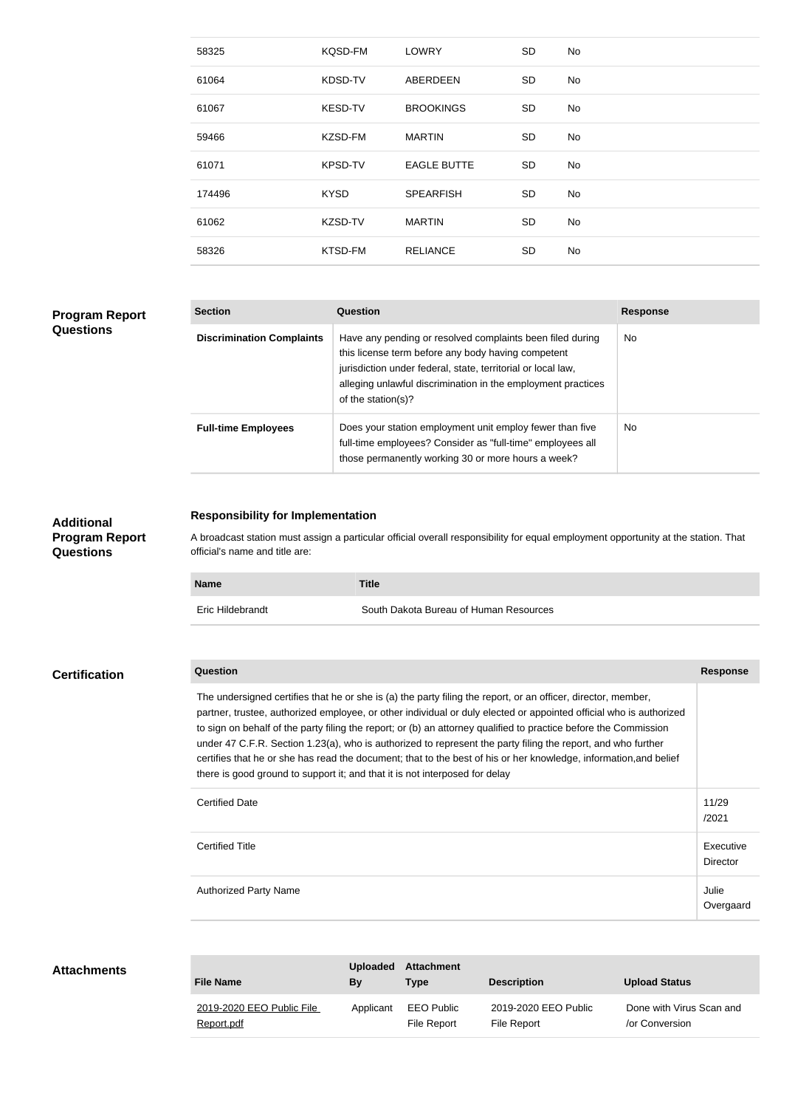| 58325  | KQSD-FM        | <b>LOWRY</b>       | <b>SD</b> | No |
|--------|----------------|--------------------|-----------|----|
| 61064  | KDSD-TV        | ABERDEEN           | <b>SD</b> | No |
| 61067  | <b>KESD-TV</b> | <b>BROOKINGS</b>   | <b>SD</b> | No |
| 59466  | KZSD-FM        | <b>MARTIN</b>      | <b>SD</b> | No |
| 61071  | <b>KPSD-TV</b> | <b>EAGLE BUTTE</b> | <b>SD</b> | No |
| 174496 | <b>KYSD</b>    | <b>SPEARFISH</b>   | <b>SD</b> | No |
| 61062  | KZSD-TV        | <b>MARTIN</b>      | <b>SD</b> | No |
| 58326  | KTSD-FM        | <b>RELIANCE</b>    | <b>SD</b> | No |
|        |                |                    |           |    |

### **Program Report Questions**

| <b>Section</b>                   | Question                                                                                                                                                                                                                                                              | <b>Response</b> |
|----------------------------------|-----------------------------------------------------------------------------------------------------------------------------------------------------------------------------------------------------------------------------------------------------------------------|-----------------|
| <b>Discrimination Complaints</b> | Have any pending or resolved complaints been filed during<br>this license term before any body having competent<br>jurisdiction under federal, state, territorial or local law,<br>alleging unlawful discrimination in the employment practices<br>of the station(s)? | No.             |
| <b>Full-time Employees</b>       | Does your station employment unit employ fewer than five<br>full-time employees? Consider as "full-time" employees all<br>those permanently working 30 or more hours a week?                                                                                          | No.             |

## **Additional Program Report Questions**

**Attachments**

#### **Responsibility for Implementation**

A broadcast station must assign a particular official overall responsibility for equal employment opportunity at the station. That official's name and title are:

| <b>Name</b>      | <b>Title</b>                           |
|------------------|----------------------------------------|
| Eric Hildebrandt | South Dakota Bureau of Human Resources |

# **Question Response** The undersigned certifies that he or she is (a) the party filing the report, or an officer, director, member, partner, trustee, authorized employee, or other individual or duly elected or appointed official who is authorized to sign on behalf of the party filing the report; or (b) an attorney qualified to practice before the Commission under 47 C.F.R. Section 1.23(a), who is authorized to represent the party filing the report, and who further certifies that he or she has read the document; that to the best of his or her knowledge, information,and belief there is good ground to support it; and that it is not interposed for delay **Certified Date** 2012 2012 2022 2023 2024 2022 2022 2023 2024 2022 2023 2024 2022 2023 2024 2022 2023 2024 2022 2023 2024 2022 2023 2024 2022 2023 2024 2022 2023 2024 2022 2023 2024 2022 2023 2024 2022 2023 2024 2023 2024 /2021 Certified Title Executive Director Authorized Party Name Julie 30 and 200 and 200 and 200 and 200 and 200 and 200 and 200 and 200 and 200 and 200 Overgaard **Certification**

| <b>File Name</b>                        | <b>Uploaded</b><br>Bv | <b>Attachment</b><br><b>Type</b> | <b>Description</b>                  | <b>Upload Status</b>                       |
|-----------------------------------------|-----------------------|----------------------------------|-------------------------------------|--------------------------------------------|
| 2019-2020 EEO Public File<br>Report.pdf | Applicant             | EEO Public<br>File Report        | 2019-2020 EEO Public<br>File Report | Done with Virus Scan and<br>/or Conversion |